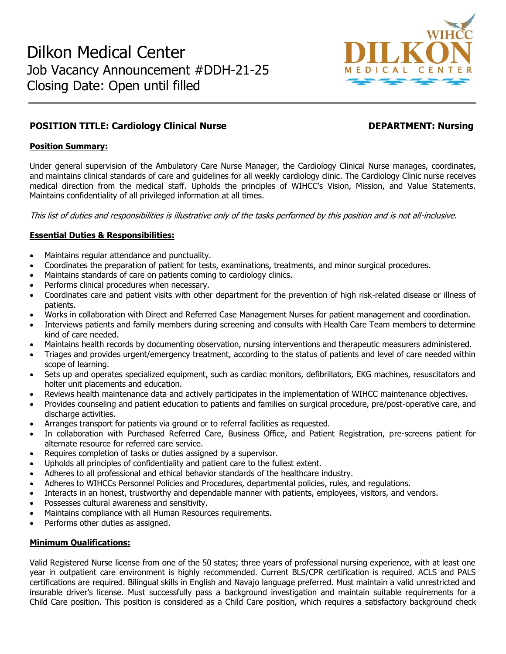

# **POSITION TITLE: Cardiology Clinical Nurse DEPARTMENT: Nursing**

## **Position Summary:**

Under general supervision of the Ambulatory Care Nurse Manager, the Cardiology Clinical Nurse manages, coordinates, and maintains clinical standards of care and guidelines for all weekly cardiology clinic. The Cardiology Clinic nurse receives medical direction from the medical staff. Upholds the principles of WIHCC's Vision, Mission, and Value Statements. Maintains confidentiality of all privileged information at all times.

This list of duties and responsibilities is illustrative only of the tasks performed by this position and is not all-inclusive.

## **Essential Duties & Responsibilities:**

- Maintains regular attendance and punctuality.
- Coordinates the preparation of patient for tests, examinations, treatments, and minor surgical procedures.
- Maintains standards of care on patients coming to cardiology clinics.
- Performs clinical procedures when necessary.
- Coordinates care and patient visits with other department for the prevention of high risk-related disease or illness of patients.
- Works in collaboration with Direct and Referred Case Management Nurses for patient management and coordination.
- Interviews patients and family members during screening and consults with Health Care Team members to determine kind of care needed.
- Maintains health records by documenting observation, nursing interventions and therapeutic measurers administered.
- Triages and provides urgent/emergency treatment, according to the status of patients and level of care needed within scope of learning.
- Sets up and operates specialized equipment, such as cardiac monitors, defibrillators, EKG machines, resuscitators and holter unit placements and education.
- Reviews health maintenance data and actively participates in the implementation of WIHCC maintenance objectives.
- Provides counseling and patient education to patients and families on surgical procedure, pre/post-operative care, and discharge activities.
- Arranges transport for patients via ground or to referral facilities as requested.
- In collaboration with Purchased Referred Care, Business Office, and Patient Registration, pre-screens patient for alternate resource for referred care service.
- Requires completion of tasks or duties assigned by a supervisor.
- Upholds all principles of confidentiality and patient care to the fullest extent.
- Adheres to all professional and ethical behavior standards of the healthcare industry.
- Adheres to WIHCCs Personnel Policies and Procedures, departmental policies, rules, and regulations.
- Interacts in an honest, trustworthy and dependable manner with patients, employees, visitors, and vendors.
- Possesses cultural awareness and sensitivity.
- Maintains compliance with all Human Resources requirements.
- Performs other duties as assigned.

## **Minimum Qualifications:**

Valid Registered Nurse license from one of the 50 states; three years of professional nursing experience, with at least one year in outpatient care environment is highly recommended. Current BLS/CPR certification is required. ACLS and PALS certifications are required. Bilingual skills in English and Navajo language preferred. Must maintain a valid unrestricted and insurable driver's license. Must successfully pass a background investigation and maintain suitable requirements for a Child Care position. This position is considered as a Child Care position, which requires a satisfactory background check